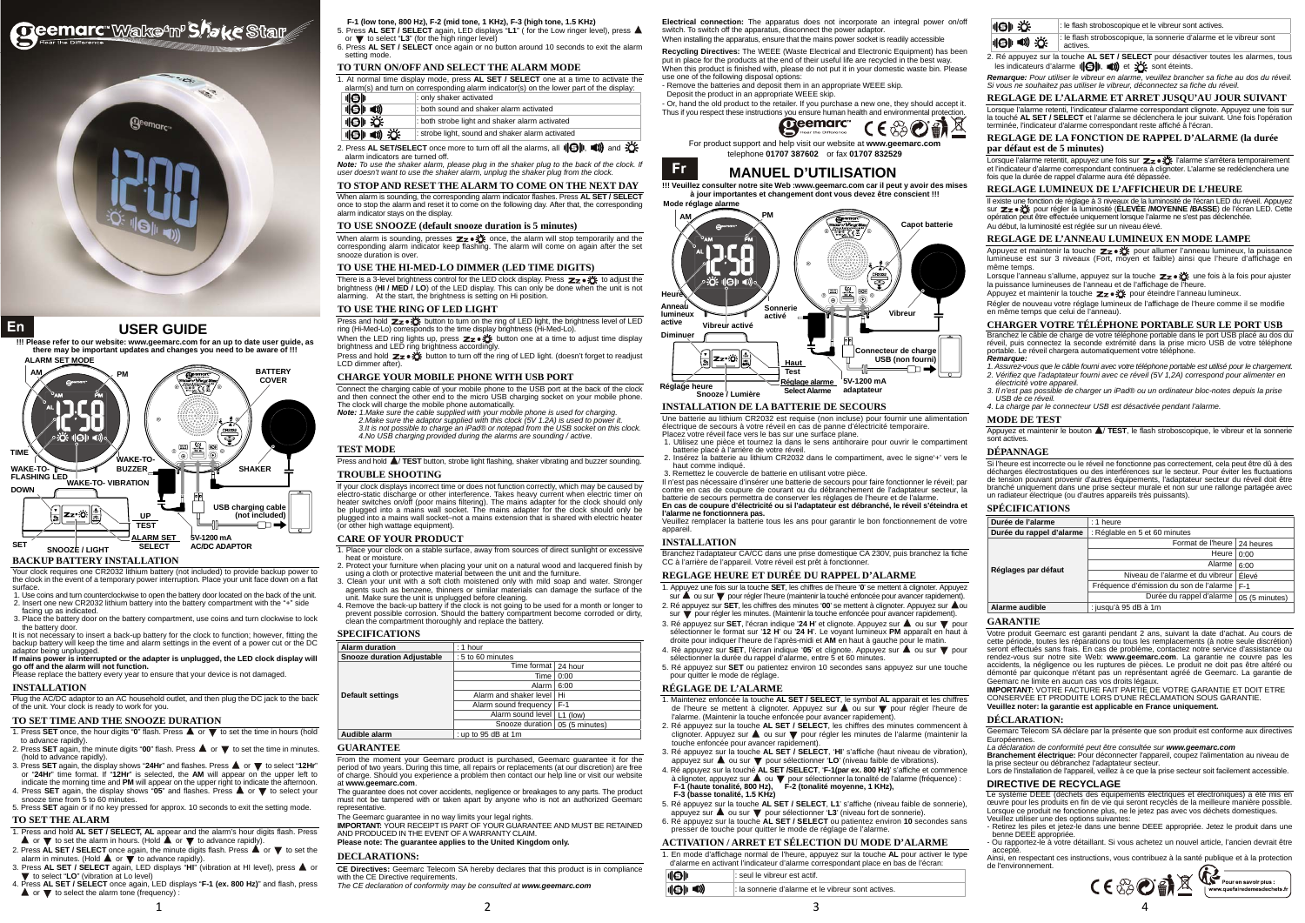# Oeemarc Wake<sup>s</sup>n<sup>,</sup> Shake Star



## En

3

la sonnerie d'alarme et le vibreur sont actives.

4



## **USER GUIDE**

**BACKUP BATTERY INSTALLATION** 

Your clock requires one CR2032 lithium battery (not included) to provide backup power to the clock in the event of a temporary power interruption. Place your unit face down on a flat surface.

It is not necessary to insert a back-up battery for the clock to function; however, fitting the backup battery will keep the time and alarm settings in the event of a power cut or the DC adaptor being unplugged.

 1. Use coins and turn counterclockwise to open the battery door located on the back of the unit. 2. Insert one new CR2032 lithium battery into the battery compartment with the "+" side facing up as indicated.

3. Place the battery door on the battery compartment, use coins and turn clockwise to lock the battery door.

**If mains power is interrupted or the adapter is unplugged, the LED clock display will go off and the alarm will not function.** 

Please replace the battery every year to ensure that your device is not damaged.

- 1. Press **SET** once, the hour digits "**0**" flash. Press  $\triangle$  or  $\triangledown$  to set the time in hours (hold to advance rapidly).
- 2. Press **SET** again, the minute digits "00" flash. Press **A** or **V** to set the time in minutes. (hold to advance rapidly).
- 3. Press SET again, the display shows "24Hr" and flashes. Press **▲** or ▼ to select "12Hr" or "**24Hr**" time format. If "**12Hr**" is selected, the **AM** will appear on the upper left to indicate the morning time and PM will appear on the upper right to indicate the afternoon.<br>4. Press SET again, the display shows "05" and flashes. Press ▲ or ▼ to select your
- snooze time from 5 to 60 minutes. 5. Press **SET** again or if no key pressed for approx. 10 seconds to exit the setting mode.

#### **INSTALLATION**

Plug the AC/DC adaptor to an AC household outlet, and then plug the DC jack to the back of the unit. Your clock is ready to work for you.

## **TO SET TIME AND THE SNOOZE DURATION**

- 5. Press **AL SET / SELECT** again, LED displays "**L1**" ( for the Low ringer level), press or  $\blacktriangledown$  to select "L3" (for the high ringer level)
- 6. Press **AL SET / SELECT** once again or no button around 10 seconds to exit the alarm setting mode

2. Press AL SET/SELECT once more to turn off all the alarms, all  $\|\Theta\|$ .  $\blacksquare\!\!\!\blacktriangleright\!\!\!\triangle$  and  $\mathcal{\mathbb{Z}}$ : alarm indicators are turned off.

## **TO SET THE ALARM**

1. Press and hold **AL SET / SELECT, AL** appear and the alarm's hour digits flash. Press  $\blacktriangle$  or  $\nabla$  to set the alarm in hours. (Hold  $\blacktriangle$  or  $\nabla$  to advance rapidly).

- 2. Press  $AL SET / SELECT$  once again, the minute digits flash. Press  $A$  or  $\nabla$  to set the alarm in minutes. (Hold  $\blacktriangle$  or  $\blacktriangledown$  to advance rapidly).
- 3. Press AL SET / SELECT again, LED displays "HI" (vibration at HI level), press **A** or to select "**LO**" (vibration at Lo level)
- 4. Press **AL SET / SELECT** once again, LED displays "**F-1 (ex. 800 Hz)**" and flash, press  $\triangle$  or  $\nabla$  to select the alarm tone (frequency) :

1

There is a 3-level brightness control for the LED clock display. Press  $\mathbb{Z}_2 \cdot \mathbb{X}$  to adjust the brightness (**HI / MED / LO**) of the LED display. This can only be done when the unit is not alarming. At the start, the brightness is setting on Hi position.

Press and hold  $\mathbb{Z}_{\mathbb{Z}} \bullet \mathbb{X}$  button to turn on the ring of LED light, the brightness level of LED ring (Hi-Med-Lo) corresponds to the time display brightness (Hi-Med-Lo).

When the LED ring lights up, press  $\mathbb{Z}_2 \cdot \mathbb{X}$  button one at a time to adjust time display

brightness and LED ring brightness according Press and hold  $\mathbb{Z}_2 \cdot \mathbb{X}$  button to turn off the ring of LED light. (doesn't forget to readjust LCD dimmer after).

**F-1 (low tone, 800 Hz), F-2 (mid tone, 1 KHz), F-3 (high tone, 1.5 KHz)** 

#### **TO TURN ON/OFF AND SELECT THE ALARM MODE**

1. At normal time display mode, press **AL SET / SELECT** one at a time to activate the alarm(s) and turn on corresponding alarm indicator(s) on the lower part of the display:

| 川 川         | : only shaker activated                          |  |
|-------------|--------------------------------------------------|--|
| <b>IQIO</b> | : both sound and shaker alarm activated          |  |
| ⊪9⊪ 汝       | : both strobe light and shaker alarm activated   |  |
| 10 4 美      | : strobe light, sound and shaker alarm activated |  |

 *Note: To use the shaker alarm, please plug in the shaker plug to the back of the clock. If user doesn't want to use the shaker alarm, unplug the shaker plug from the clock.* 

**TO STOP AND RESET THE ALARM TO COME ON THE NEXT DAY** When alarm is sounding, the corresponding alarm indicator flashes. Press **AL SET / SELECT** once to stop the alarm and reset it to come on the following day. After that, the corresponding alarm indicator stays on the display.

#### **TO USE SNOOZE (default snooze duration is 5 minutes)**

When alarm is sounding, presses  $\mathbb{Z}_2 \cdot \mathbb{X}$  once, the alarm will stop temporarily and the corresponding alarm indicator keep flashing. The alarm will come on again after the set snooze duration is over.

**CE Directives:** Geemarc Telecom SA hereby declares that this product is in compliance with the CE Directive requirements.

#### **TO USE THE HI-MED-LO DIMMER (LED TIME DIGITS)**

**Electrical connection:** The apparatus does not incorporate an integral power on/off switch. To switch off the apparatus, disconnect the power adaptor. When installing the apparatus, ensure that the mains power socket is readily accessible

- Remove the batteries and deposit them in an appropriate WEEE skip.
- Deposit the product in an appropriate WEEE skip. - Or, hand the old product to the retailer. If you purchase a new one, they should accept it.
- Thus if you respect these instructions you ensure human health and environmental protection.<br>  $\begin{picture}(180,190)(0.0000,0.0000) \put(0,0){\line(1,0){10}} \put(0,0){\line(1,0){10}} \put(0,0){\line(1,0){10}} \put(0,0){\line(1,0){10}} \put(0,0){\line(1,0){10}} \put(0,0){\line(1,0){$



#### **TO USE THE RING OF LED LIGHT**

## **CHARGE YOUR MOBILE PHONE WITH USB PORT**

Connect the charging cable of your mobile phone to the USB port at the back of the clock and then connect the other end to the micro USB charging socket on your mobile phone. The clock will charge the mobile phone automatically.

> Il n'est pas nécessaire d'insérer une batterie de secours pour faire fonctionner le réveil; par contre en cas de coupure de courant ou du débranchement de l'adaptateur secteur, la batterie de secours permettra de conserver les réglages de l'heure et de l'alarm **En cas de coupure d'électricité ou si l'adaptateur est débranché, le réveil s'éteindra et**

> Branchez l'adaptateur CA/CC dans une prise domestique CA 230V, puis branchez la fiche CC à l'arrière de l'appareil. Votre réveil est prêt à fonctionne

- *Note: 1.Make sure the cable supplied with your mobile phone is used for charging.*
- *2.Make sure the adaptor supplied with this clock (5V 1.2A) is used to power it. 3.It is not possible to charge an iPad® or notepad from the USB socket on this clock. 4.No USB charging provided during the alarms are sounding / active.*
- 

## **TEST MODE**

Press and hold  $\triangle$ / **TEST** button, strobe light flashing, shaker vibrating and buzzer sounding.

## **TROUBLE SHOOTING**

If your clock displays incorrect time or does not function correctly, which may be caused by electro-static discharge or other interference. Takes heavy current when electric timer on<br>heater switches on/off (poor mains filtering). The mains adapter for the clock should only<br>be plugged into a mains wall socket. The plugged into a mains wall socket–not a mains extension that is shared with electric heater (or other high wattage equipment).

#### **CARE OF YOUR PRODUCT**

- 1. Place your clock on a stable surface, away from sources of direct sunlight or excessive heat or moisture.
- 2. Protect your furniture when placing your unit on a natural wood and lacquered finish by using a cloth or protective material between the unit and the furniture. 3. Clean your unit with a soft cloth moistened only with mild soap and water. Stronger
- agents such as benzene, thinners or similar materials can damage the surface of the unit. Make sure the unit is unplugged before cleaning.
- 4. Remove the back-up battery if the clock is not going to be used for a month or longer to prevent possible corrosion. Should the battery compartment become corroded or dirty, clean the compartment thoroughly and replace the battery.

2. Ré appuyez sur la touche **AL SET / SELECT** pour désactiver toutes les alarmes, tous les indicateurs d'alarme  $\|\Theta\|$ ,  $\implies$  sont éteints.

## **SPECIFICATIONS**

| <b>Alarm duration</b>             | $: 1$ hour                       |      |
|-----------------------------------|----------------------------------|------|
| <b>Snooze duration Adjustable</b> | : 5 to 60 minutes                |      |
|                                   | Time format   24 hour            |      |
|                                   | Time                             | 0:00 |
|                                   | Alarm I                          | 6:00 |
| <b>Default settings</b>           | Alarm and shaker level   Hi      |      |
|                                   | Alarm sound frequency   F-1      |      |
|                                   | Alarm sound level   L1 (low)     |      |
|                                   | Snooze duration   05 (5 minutes) |      |
| Audible alarm                     | : up to 95 dB at 1m              |      |

Lorsque l'alarme retentit, appuyez une fois sur  $\mathbb{Z}_2 \cdot \mathbb{X}$  l'alarme s'arrêtera temporairement et l'indicateur d'alarme correspondant continuera à clignoter. L'alarme se redéclenchera une fois que la durée de rappel d'alarme aura été dépassée.

#### **GUARANTEE**

From the moment your Geemarc product is purchased, Geemarc guarantee it for the period of two years. During this time, all repairs or replacements (at our discretion) are free of charge. Should you experience a problem then contact our help line or visit our website at **www.geemarc.com**.

Appuyez et maintenir la touche  $z_{z}$ .  $\ddot{x}$  pour allumer l'anneau lumineux, la puissance lumineuse est sur 3 niveaux (Fort, moyen et faible) ainsi que l'heure d'affichage en même temps.

Lorsque l'anneau s'allume, appuyez sur la touche  $\mathbb{Z}_2 \cdot \mathbb{X}$  une fois à la fois pour ajuster la puissance lumineuses de l'anneau et de l'affichage de l'heure.

Appuyez et maintenir la touche  $z_{z}$ .  $z_{z}$  pour éteindre l'anneau lumineux.

The guarantee does not cover accidents, negligence or breakages to any parts. The product must not be tampered with or taken apart by anyone who is not an authorized Geemarc representative.

The Geemarc guarantee in no way limits your legal rights.

**IMPORTANT:** YOUR RECEIPT IS PART OF YOUR GUARANTEE AND MUST BE RETAINED<br>AND PRODUCED IN THE EVENT OF A WARRANTY CLAIM.

**Please note: The guarantee applies to the United Kingdom only.** 

#### **DECLARATIONS:**

 $\frac{1}{2}$ 

*The CE declaration of conformity may be consulted at www.geemarc.com*

Votre produit Geemarc est garanti pendant 2 ans, suivant la date d'achat. Au cours de cette période, toutes les réparations ou tous les remplacements (à notre seule discrétion) seront effectués sans frais. En cas de problème, contactez notre service d'assistance ou rendez-vous sur notre site Web: **www.geemarc.com**. La garantie ne couvre pas les accidents, la négligence ou les ruptures de pièces. Le produit ne doit pas être altéré ou démonté par quiconque n'étant pas un représentant agréé de Geemarc. La garantie de Geemarc ne limite en aucun cas vos droits légaux

**Recycling Directives:** The WEEE (Waste Electrical and Electronic Equipment) has been put in place for the products at the end of their useful life are recycled in the best way. When this product is finished with, please do not put it in your domestic waste bin. Please use one of the following disposal options:

> Branchement électrique: Pour déconnecter l'appareil, coupez l'alimentation au niveau de la prise secteur ou débranchez l'adaptateur secteur.

For product support and help visit our website at **www.geemarc.com**  telephone **01707 387602** or fax **01707 832529** 

## **MANUEL D'UTILISATION**

**!!! Veuillez consulter notre site Web :www.geemarc.com car il peut y avoir des mises à jour importantes et changement dont vous devez être conscient !!!** 

#### **INSTALLATION DE LA BATTERIE DE SECOURS**

 **!!! Please refer to our website: www.geemarc.com for an up to date user guide, as there may be important updates and changes you need to be aware of !!! ALARM SET MODE** 

> Une batterie au lithium CR2032 est requise (non incluse) pour fournir une alimentation électrique de secours à votre réveil en cas de panne d'électricité temporaire.

Placez votre réveil face vers le bas sur une surface plane. 1. Utilisez une pièce et tournez la dans le sens antihoraire pour ouvrir le compartiment

- batterie placé à l'arrière de votre réveil. 2. Insérez la batterie au lithium CR2032 dans le compartiment, avec le signe'+' vers le
- haut comme indiqué. 3. Remettez le couvercle de batterie en utilisant votre pièce.

#### **l'alarme ne fonctionnera pas.**  Veuillez remplacer la batterie tous les ans pour garantir le bon fonctionnement de votre

appareil.

## **INSTALLATION**

**Fr** 

#### **REGLAGE HEURE ET DURÉE DU RAPPEL D'ALARME**

- 1. Appuyez une fois sur la touche **SET**, les chiffres de l'heure '**0**' se mettent à clignoter. Appuyez sur  $\blacktriangle$  ou sur  $\nabla$  pour régler l'heure (maintenir la touché enfoncée pour avancer rapidement).
- 2. Ré appuyez sur **SET**, les chiffres des minutes '00' se mettent à clignoter. Appuyez sur  $\triangle$ ou sur  $\blacktriangledown$  pour régler les minutes. (Maintenir la touche enfoncée pour avancer rapidement).
- 3. Ré appuyez sur SET, l'écran indique '24 H' et clignote. Appuyez sur ▲ ou sur ▼ pour sélectionner le format sur '**12 H**' ou '**24 H**'. Le voyant lumineux **PM** apparaît en haut à droite pour indiquer l'heure de l'après-midi et **AM** en haut à gauche pour le matin.
- 4. Ré appuyez sur **SET**, l'écran indique '05' et clignote. Appuyez sur ▲ ou sur ▼ pour sélectionner la durée du rappel d'alarme, entre 5 et 60 minutes.
- 5. Ré appuyez sur **SET** ou patientez environ 10 secondes sans appuyez sur une touche pour quitter le mode de réglage.

#### **RÉGLAGE DE L'ALARME**

**1181**  $\|\Theta\|$  ()

- 1. Maintenez enfoncée la touche **AL SET / SELECT**, le symbol **AL** apparait et les chiffres de l'heure se mettent à clignoter. Appuyez sur ▲ ou sur ▼ pour régler l'heure de<br>l'alarme. (Maintenir la touche enfoncée pour avancer rapidement).
- 2. Ré appuyez sur la touche **AL SET / SELECT**, les chiffres des minutes commencent à clignoter. Appuyez sur  $\blacktriangle$  ou sur  $\nabla$  pour régler les minutes de l'alarme (maintenir la touche enfoncée pour avancer rapidement).
- 3. Ré appuyez sur la touche **AL SET / SELECT**, '**HI**' s'affiche (haut niveau de vibration), appuyez sur **A** ou sur **v** pour sélectionner '**LO**' (niveau faible de vibrations).
- 4. Ré appuyez sur la touché **AL SET /SELECT**, '**F-1(par ex. 800 Hz)**' s'affiche et commence à clignoter, appuyez sur  $\triangle$  ou  $\nabla$  pour sélectionner la tonalité de l'alarme (fréquence) :<br>F-1 (haute tonalité, 800 Hz). F-2 (tonalité movenne, 1 KHz). **F-2 (tonalité moyenne, 1 KHz), F-3 (basse tonalité, 1.5 KHz)**
- 5. Ré appuyez sur la touche **AL SET / SELECT**, **L1**' s'affiche (niveau faible de sonnerie),
- appuyez sur  $\triangle$  ou sur  $\nabla$  pour sélectionner  $\angle$ 3' (niveau fort de sonnerie). 6. Ré appuyez sur la touche **AL SET / SELECT** ou patientez environ **10** secondes sans presser de touche pour quitter le mode de réglage de l'alarme.

**ACTIVATION / ARRET ET SÉLECTION DU MODE D'ALARME**  1. En mode d'affichage normal de l'heure, appuyez sur la touche **AL** pour activer le type d'alarme en activant l'indicateur d'alarme correspondant place en bas de l'écran:

: seul le vibreur est actif.

| Hell ič€ | : le flash stroboscopique et le vibreur sont actives.                          |
|----------|--------------------------------------------------------------------------------|
| ║9⊪ ♥ 汶  | : le flash stroboscopique, la sonnerie d'alarme et le vibreur sont<br>actives. |
|          |                                                                                |

*Remarque: Pour utiliser le vibreur en alarme, veuillez brancher sa fiche au dos du réveil. Si vous ne souhaitez pas utiliser le vibreur, déconnectez sa fiche du réveil.* 

## **REGLAGE DE L'ALARME ET ARRET JUSQU'AU JOUR SUIVANT**

Lorsque l'alarme retenti, l'indicateur d'alarme correspondant clignote. Appuyez une fois sur la touché **AL SET / SELECT** et l'alarme se déclenchera le jour suivant. Une fois l'opération alarme correspondant reste affiché à l'écran.

#### **REGLAGE DE LA FONCTION DE RAPPEL D'ALARME (la durée par défaut est de 5 minutes)**

## **REGLAGE LUMINEUX DE L'AFFICHEUR DE L'HEURE**

Il existe une fonction de réglage à 3 niveaux de la luminosité de l'écran LED du réveil. Appuyez sur pour régler la luminosité (**ÉLEVÉE /MOYENNE /BASSE**) de l'écran LED. Cette opération peut être effectuée uniquement lorsque l'alarme ne s'est pas déclenchée. Au début, la luminosité est réglée sur un niveau élevé.

## **REGLAGE DE L'ANNEAU LUMINEUX EN MODE LAMPE**

Régler de nouveau votre réglage lumineux de l'affichage de l'heure comme il se modifie en même temps que celui de l'anneau).

## **CHARGER VOTRE TÉLÉPHONE PORTABLE SUR LE PORT USB**

Branchez le câble de charge de votre téléphone portable dans le port USB placé au dos du réveil, puis connectez la seconde extrémité dans la prise micro USB de votre téléphone portable. Le réveil chargera automatiquement votre téléphone.

## *Remarque:*

- *1. Assurez-vous que le câble fourni avec votre téléphone portable est utilisé pour le chargement. 2. Vérifiez que l'adaptateur fourni avec ce réveil (5V 1,2A) correspond pour alimenter en électricité votre appareil.*
- *3. Il n'est pas possible de charger un iPad® ou un ordinateur bloc-notes depuis la prise USB de ce réveil.*
- *4. La charge par le connecteur USB est désactivée pendant l'alarme.*

#### **MODE DE TEST**

Appuyez et maintenir le bouton **A**/TEST, le flash stroboscopique, le vibreur et la sonnerie sont actives

#### **DÉPANNAGE**

Si l'heure est incorrecte ou le réveil ne fonctionne pas correctement, cela peut être dû à des décharges électrostatiques ou des interférences sur le secteur. Pour éviter les fluctuations de tension pouvant provenir d'autres équipements, l'adaptateur secteur du réveil doit être branché uniquement dans une prise secteur murale et non sur une rallonge partagée avec un radiateur électrique (ou d'autres appareils très puissants).

## **SPÉCIFICATIONS**

| Durée de l'alarme        | : 1 heure                                 |        |  |
|--------------------------|-------------------------------------------|--------|--|
| Durée du rappel d'alarme | : Réglable en 5 et 60 minutes             |        |  |
|                          | Format de l'heure   24 heures             |        |  |
| Réglages par défaut      | Heure                                     | 0:00   |  |
|                          | Alarme                                    | 6:00   |  |
|                          | Niveau de l'alarme et du vibreur          | Élevé  |  |
|                          | Fréquence d'émission du son de l'alarme   | $IF-1$ |  |
|                          | Durée du rappel d'alarme   05 (5 minutes) |        |  |
| Alarme audible           | : jusqu'à 95 dB à 1m                      |        |  |

#### **GARANTIE**

**IMPORTANT:** VOTRE FACTURE FAIT PARTIE DE VOTRE GARANTIE ET DOIT ETRE CONSERVÉE ET PRODUITE LORS D'UNE RÉCLAMATION SOUS GARANTIE.

**Veuillez noter: la garantie est applicable en France uniquement.** 

## **DÉCLARATION:**

Geemarc Telecom SA déclare par la présente que son produit est conforme aux directives Européennes.

*La déclaration de conformité peut être consultée sur www.geemarc.com*

Lors de l'installation de l'appareil, veillez à ce que la prise secteur soit facilement accessible.

## **DIRECTIVE DE RECYCLAGE**

Le système DEEE (déchets des équipements électriques et électroniques) a été mis en œuvre pour les produits en fin de vie qui seront recyclés de la meilleure manière possible. Lorsque ce produit ne fonctionne plus, ne le jetez pas avec vos déchets domestiques. Veuillez utiliser une des options suivantes:

- Retirez les piles et jetez-le dans une benne DEEE appropriée. Jetez le produit dans une benne DEEE appropriée.
- Ou rapportez-le à votre détaillant. Si vous achetez un nouvel article, l'ancien devrait être accepté. Ainsi, en respectant ces instructions, vous contribuez à la santé publique et à la protection

de l'environnement.